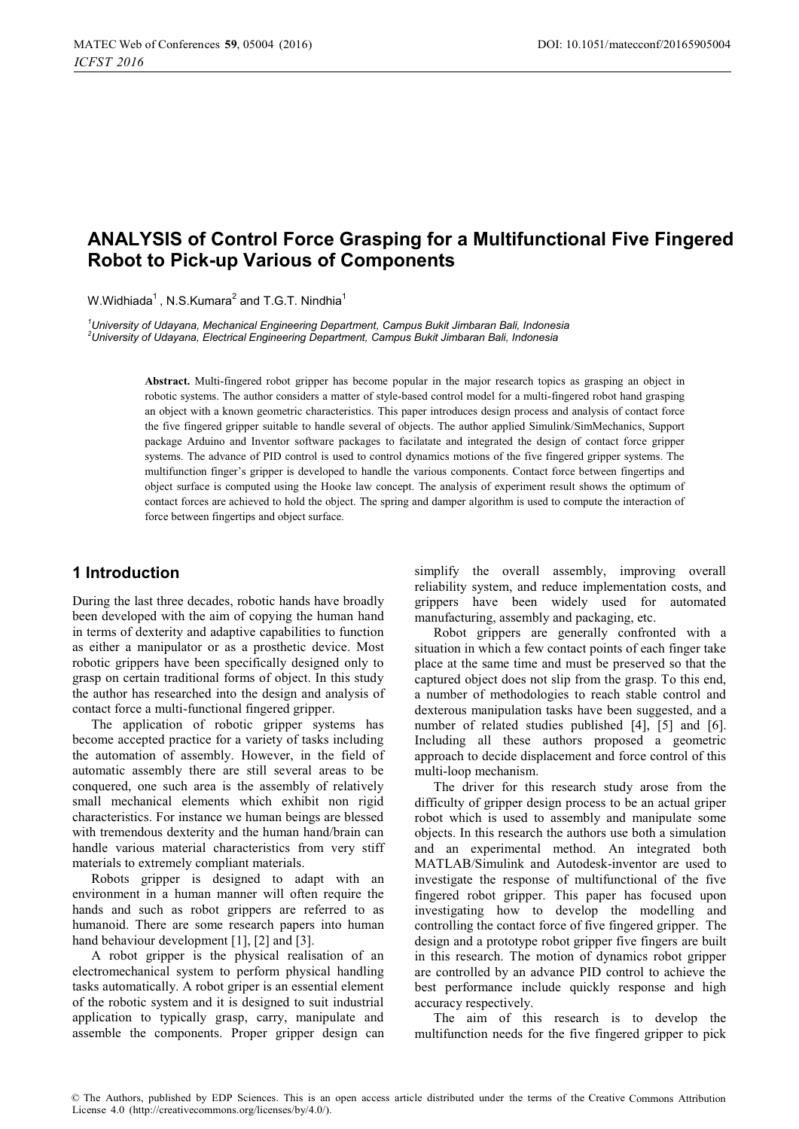# **ANALYSIS of Control Force Grasping for a Multifunctional Five Fingered Robot to Pick-up Various of Components**

W.Widhiada<sup>1</sup>, N.S.Kumara<sup>2</sup> and T.G.T. Nindhia<sup>1</sup>

*1 University of Udayana, Mechanical Engineering Department, Campus Bukit Jimbaran Bali, Indonesia 2 University of Udayana, Electrical Engineering Department, Campus Bukit Jimbaran Bali, Indonesia* 

> **Abstract.** Multi-fingered robot gripper has become popular in the major research topics as grasping an object in robotic systems. The author considers a matter of style-based control model for a multi-fingered robot hand grasping an object with a known geometric characteristics. This paper introduces design process and analysis of contact force the five fingered gripper suitable to handle several of objects. The author applied Simulink/SimMechanics, Support package Arduino and Inventor software packages to facilatate and integrated the design of contact force gripper systems. The advance of PID control is used to control dynamics motions of the five fingered gripper systems. The multifunction finger's gripper is developed to handle the various components. Contact force between fingertips and object surface is computed using the Hooke law concept. The analysis of experiment result shows the optimum of contact forces are achieved to hold the object. The spring and damper algorithm is used to compute the interaction of force between fingertips and object surface.

## **1 Introduction**

During the last three decades, robotic hands have broadly been developed with the aim of copying the human hand in terms of dexterity and adaptive capabilities to function as either a manipulator or as a prosthetic device. Most robotic grippers have been specifically designed only to grasp on certain traditional forms of object. In this study the author has researched into the design and analysis of contact force a multi-functional fingered gripper.

The application of robotic gripper systems has become accepted practice for a variety of tasks including the automation of assembly. However, in the field of automatic assembly there are still several areas to be conquered, one such area is the assembly of relatively small mechanical elements which exhibit non rigid characteristics. For instance we human beings are blessed with tremendous dexterity and the human hand/brain can handle various material characteristics from very stiff materials to extremely compliant materials.

Robots gripper is designed to adapt with an environment in a human manner will often require the hands and such as robot grippers are referred to as humanoid. There are some research papers into human hand behaviour development [1], [2] and [3].

A robot gripper is the physical realisation of an electromechanical system to perform physical handling tasks automatically. A robot griper is an essential element of the robotic system and it is designed to suit industrial application to typically grasp, carry, manipulate and assemble the components. Proper gripper design can simplify the overall assembly, improving overall reliability system, and reduce implementation costs, and grippers have been widely used for automated manufacturing, assembly and packaging, etc.

Robot grippers are generally confronted with a situation in which a few contact points of each finger take place at the same time and must be preserved so that the captured object does not slip from the grasp. To this end, a number of methodologies to reach stable control and dexterous manipulation tasks have been suggested, and a number of related studies published [4], [5] and [6]. Including all these authors proposed a geometric approach to decide displacement and force control of this multi-loop mechanism.

The driver for this research study arose from the difficulty of gripper design process to be an actual griper robot which is used to assembly and manipulate some objects. In this research the authors use both a simulation and an experimental method. An integrated both MATLAB/Simulink and Autodesk-inventor are used to investigate the response of multifunctional of the five fingered robot gripper. This paper has focused upon investigating how to develop the modelling and controlling the contact force of five fingered gripper. The design and a prototype robot gripper five fingers are built in this research. The motion of dynamics robot gripper are controlled by an advance PID control to achieve the best performance include quickly response and high accuracy respectively.

The aim of this research is to develop the multifunction needs for the five fingered gripper to pick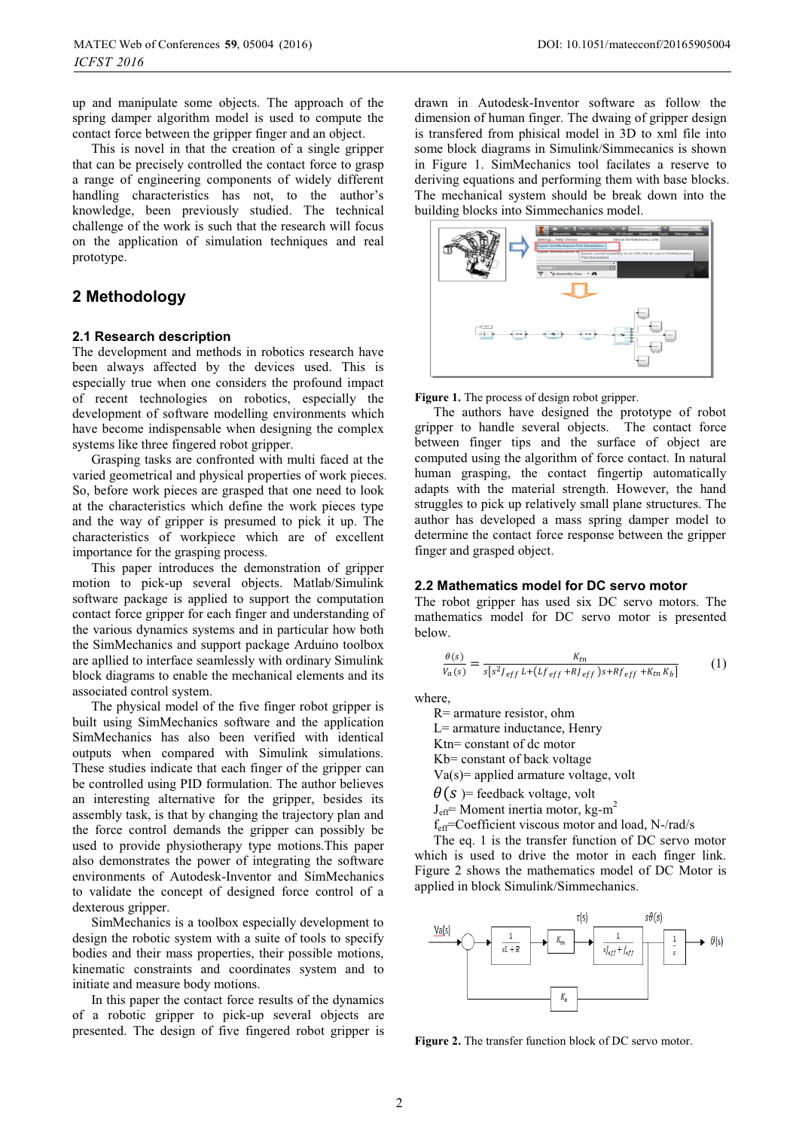up and manipulate some objects. The approach of the spring damper algorithm model is used to compute the contact force between the gripper finger and an object.

This is novel in that the creation of a single gripper that can be precisely controlled the contact force to grasp a range of engineering components of widely different handling characteristics has not, to the author's knowledge, been previously studied. The technical challenge of the work is such that the research will focus on the application of simulation techniques and real prototype.

# **2 Methodology**

### **2.1 Research description**

The development and methods in robotics research have been always affected by the devices used. This is especially true when one considers the profound impact of recent technologies on robotics, especially the development of software modelling environments which have become indispensable when designing the complex systems like three fingered robot gripper.

Grasping tasks are confronted with multi faced at the varied geometrical and physical properties of work pieces. So, before work pieces are grasped that one need to look at the characteristics which define the work pieces type and the way of gripper is presumed to pick it up. The characteristics of workpiece which are of excellent importance for the grasping process.

This paper introduces the demonstration of gripper motion to pick-up several objects. Matlab/Simulink software package is applied to support the computation contact force gripper for each finger and understanding of the various dynamics systems and in particular how both the SimMechanics and support package Arduino toolbox are apllied to interface seamlessly with ordinary Simulink block diagrams to enable the mechanical elements and its associated control system.

The physical model of the five finger robot gripper is built using SimMechanics software and the application SimMechanics has also been verified with identical outputs when compared with Simulink simulations. These studies indicate that each finger of the gripper can be controlled using PID formulation. The author believes an interesting alternative for the gripper, besides its assembly task, is that by changing the trajectory plan and the force control demands the gripper can possibly be used to provide physiotherapy type motions.This paper also demonstrates the power of integrating the software environments of Autodesk-Inventor and SimMechanics to validate the concept of designed force control of a dexterous gripper.

SimMechanics is a toolbox especially development to design the robotic system with a suite of tools to specify bodies and their mass properties, their possible motions, kinematic constraints and coordinates system and to initiate and measure body motions.

In this paper the contact force results of the dynamics of a robotic gripper to pick-up several objects are presented. The design of five fingered robot gripper is drawn in Autodesk-Inventor software as follow the dimension of human finger. The dwaing of gripper design is transfered from phisical model in 3D to xml file into some block diagrams in Simulink/Simmecanics is shown in Figure 1. SimMechanics tool facilates a reserve to deriving equations and performing them with base blocks. The mechanical system should be break down into the building blocks into Simmechanics model.



#### **Figure 1.** The process of design robot gripper.

The authors have designed the prototype of robot gripper to handle several objects. The contact force between finger tips and the surface of object are computed using the algorithm of force contact. In natural human grasping, the contact fingertip automatically adapts with the material strength. However, the hand struggles to pick up relatively small plane structures. The author has developed a mass spring damper model to determine the contact force response between the gripper finger and grasped object.

### **2.2 Mathematics model for DC servo motor**

The robot gripper has used six DC servo motors. The mathematics model for DC servo motor is presented below.

$$
\frac{\theta(s)}{V_a(s)} = \frac{K_{tn}}{s[s^2 J_{eff} L + (Lf_{eff} + RJ_{eff})s + Rf_{eff} + K_{tn}K_b]}
$$
(1)

where,

R= armature resistor, ohm

L= armature inductance, Henry

Ktn= constant of dc motor

Kb= constant of back voltage

Va(s)= applied armature voltage, volt

 $\theta(s)$  = feedback voltage, volt

 $J<sub>eff</sub>$ = Moment inertia motor, kg-m<sup>2</sup>

feff=Coefficient viscous motor and load, N-/rad/s

The eq. 1 is the transfer function of DC servo motor which is used to drive the motor in each finger link. Figure 2 shows the mathematics model of DC Motor is applied in block Simulink/Simmechanics.



**Figure 2.** The transfer function block of DC servo motor.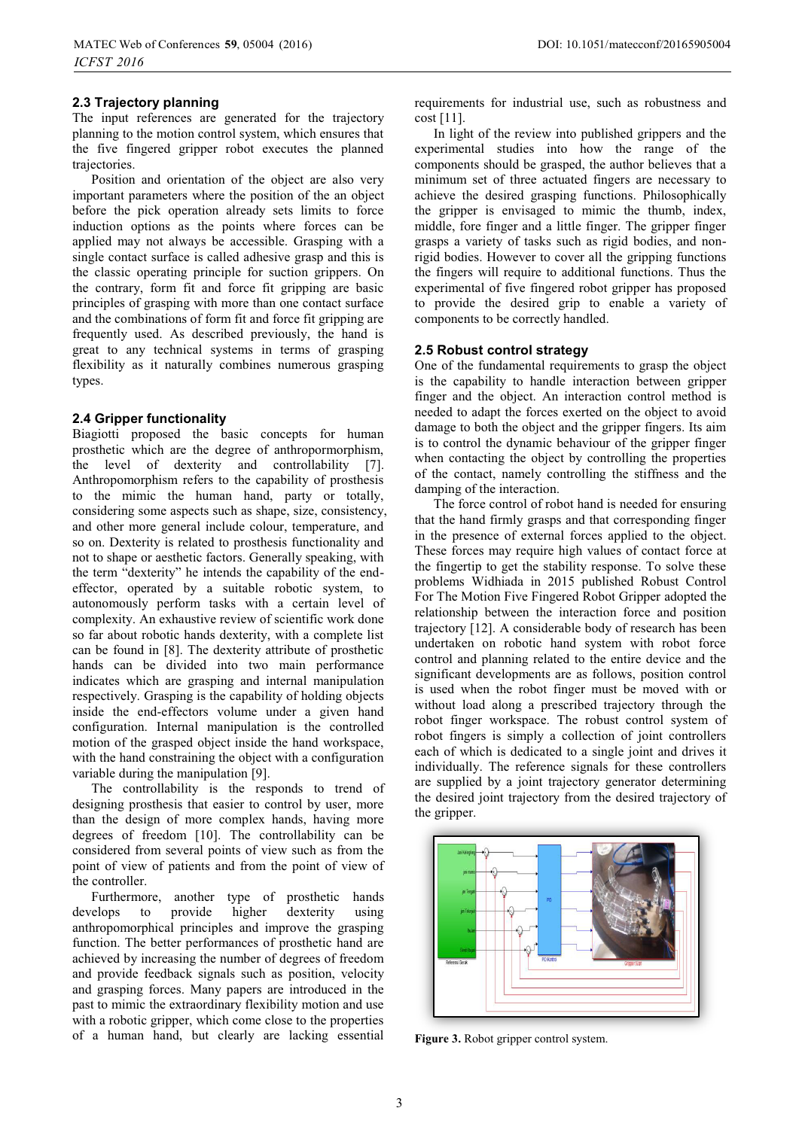The input references are generated for the trajectory planning to the motion control system, which ensures that the five fingered gripper robot executes the planned trajectories.

Position and orientation of the object are also very important parameters where the position of the an object before the pick operation already sets limits to force induction options as the points where forces can be applied may not always be accessible. Grasping with a single contact surface is called adhesive grasp and this is the classic operating principle for suction grippers. On the contrary, form fit and force fit gripping are basic principles of grasping with more than one contact surface and the combinations of form fit and force fit gripping are frequently used. As described previously, the hand is great to any technical systems in terms of grasping flexibility as it naturally combines numerous grasping types.

#### **2.4 Gripper functionality**

Biagiotti proposed the basic concepts for human prosthetic which are the degree of anthropormorphism, the level of dexterity and controllability [7]. Anthropomorphism refers to the capability of prosthesis to the mimic the human hand, party or totally, considering some aspects such as shape, size, consistency, and other more general include colour, temperature, and so on. Dexterity is related to prosthesis functionality and not to shape or aesthetic factors. Generally speaking, with the term "dexterity" he intends the capability of the endeffector, operated by a suitable robotic system, to autonomously perform tasks with a certain level of complexity. An exhaustive review of scientific work done so far about robotic hands dexterity, with a complete list can be found in [8]. The dexterity attribute of prosthetic hands can be divided into two main performance indicates which are grasping and internal manipulation respectively. Grasping is the capability of holding objects inside the end-effectors volume under a given hand configuration. Internal manipulation is the controlled motion of the grasped object inside the hand workspace, with the hand constraining the object with a configuration variable during the manipulation [9].

The controllability is the responds to trend of designing prosthesis that easier to control by user, more than the design of more complex hands, having more degrees of freedom [10]. The controllability can be considered from several points of view such as from the point of view of patients and from the point of view of the controller.

Furthermore, another type of prosthetic hands develops to provide higher dexterity using anthropomorphical principles and improve the grasping function. The better performances of prosthetic hand are achieved by increasing the number of degrees of freedom and provide feedback signals such as position, velocity and grasping forces. Many papers are introduced in the past to mimic the extraordinary flexibility motion and use with a robotic gripper, which come close to the properties of a human hand, but clearly are lacking essential requirements for industrial use, such as robustness and cost [11].

In light of the review into published grippers and the experimental studies into how the range of the components should be grasped, the author believes that a minimum set of three actuated fingers are necessary to achieve the desired grasping functions. Philosophically the gripper is envisaged to mimic the thumb, index, middle, fore finger and a little finger. The gripper finger grasps a variety of tasks such as rigid bodies, and nonrigid bodies. However to cover all the gripping functions the fingers will require to additional functions. Thus the experimental of five fingered robot gripper has proposed to provide the desired grip to enable a variety of components to be correctly handled.

#### **2.5 Robust control strategy**

One of the fundamental requirements to grasp the object is the capability to handle interaction between gripper finger and the object. An interaction control method is needed to adapt the forces exerted on the object to avoid damage to both the object and the gripper fingers. Its aim is to control the dynamic behaviour of the gripper finger when contacting the object by controlling the properties of the contact, namely controlling the stiffness and the damping of the interaction.

The force control of robot hand is needed for ensuring that the hand firmly grasps and that corresponding finger in the presence of external forces applied to the object. These forces may require high values of contact force at the fingertip to get the stability response. To solve these problems Widhiada in 2015 published Robust Control For The Motion Five Fingered Robot Gripper adopted the relationship between the interaction force and position trajectory [12]. A considerable body of research has been undertaken on robotic hand system with robot force control and planning related to the entire device and the significant developments are as follows, position control is used when the robot finger must be moved with or without load along a prescribed trajectory through the robot finger workspace. The robust control system of robot fingers is simply a collection of joint controllers each of which is dedicated to a single joint and drives it individually. The reference signals for these controllers are supplied by a joint trajectory generator determining the desired joint trajectory from the desired trajectory of the gripper.



**Figure 3.** Robot gripper control system.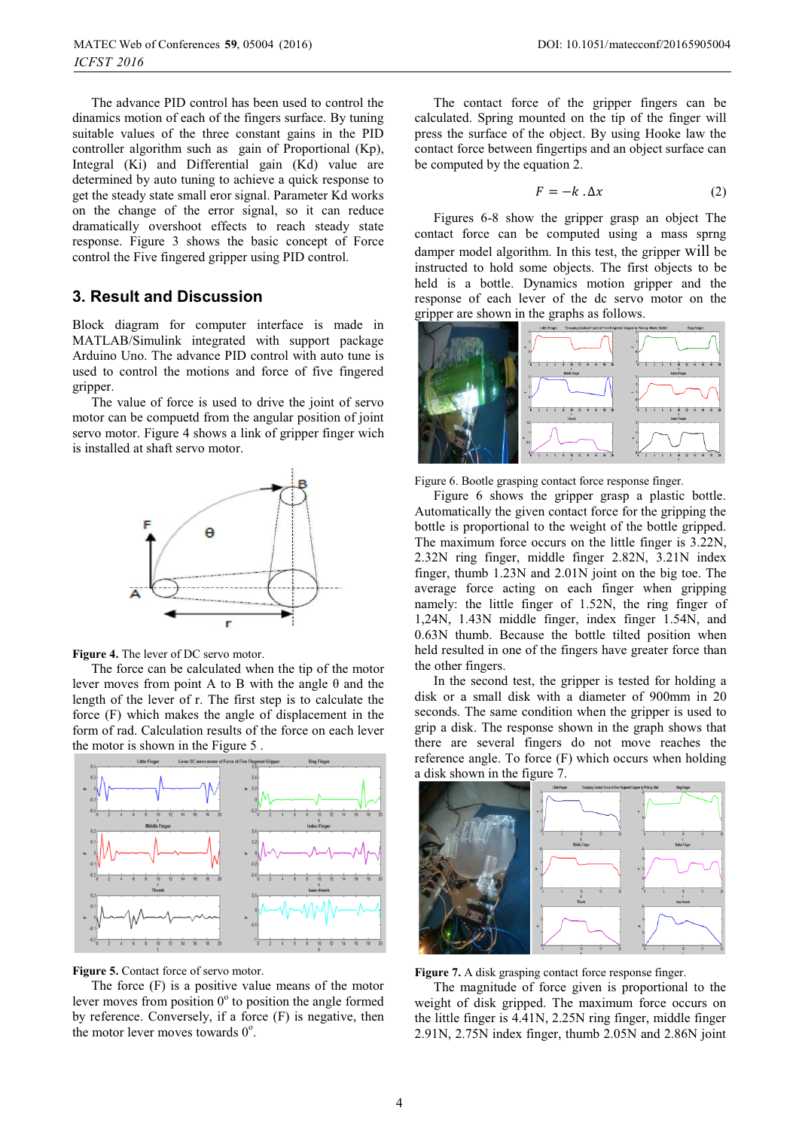The advance PID control has been used to control the dinamics motion of each of the fingers surface. By tuning suitable values of the three constant gains in the PID controller algorithm such as gain of Proportional (Kp), Integral (Ki) and Differential gain (Kd) value are determined by auto tuning to achieve a quick response to get the steady state small eror signal. Parameter Kd works on the change of the error signal, so it can reduce dramatically overshoot effects to reach steady state response. Figure 3 shows the basic concept of Force control the Five fingered gripper using PID control.

## **3. Result and Discussion**

Block diagram for computer interface is made in MATLAB/Simulink integrated with support package Arduino Uno. The advance PID control with auto tune is used to control the motions and force of five fingered gripper.

The value of force is used to drive the joint of servo motor can be compuetd from the angular position of joint servo motor. Figure 4 shows a link of gripper finger wich is installed at shaft servo motor.



**Figure 4.** The lever of DC servo motor.

The force can be calculated when the tip of the motor lever moves from point A to B with the angle θ and the length of the lever of r. The first step is to calculate the force (F) which makes the angle of displacement in the form of rad. Calculation results of the force on each lever the motor is shown in the Figure 5 .



**Figure 5.** Contact force of servo motor.

The force (F) is a positive value means of the motor lever moves from position  $0^{\circ}$  to position the angle formed by reference. Conversely, if a force (F) is negative, then the motor lever moves towards  $0^\circ$ .

The contact force of the gripper fingers can be calculated. Spring mounted on the tip of the finger will press the surface of the object. By using Hooke law the contact force between fingertips and an object surface can be computed by the equation 2.

$$
F = -k \cdot \Delta x \tag{2}
$$

Figures 6-8 show the gripper grasp an object The contact force can be computed using a mass sprng damper model algorithm. In this test, the gripper will be instructed to hold some objects. The first objects to be held is a bottle. Dynamics motion gripper and the response of each lever of the dc servo motor on the gripper are shown in the graphs as follows.



Figure 6. Bootle grasping contact force response finger.

Figure 6 shows the gripper grasp a plastic bottle. Automatically the given contact force for the gripping the bottle is proportional to the weight of the bottle gripped. The maximum force occurs on the little finger is 3.22N, 2.32N ring finger, middle finger 2.82N, 3.21N index finger, thumb 1.23N and 2.01N joint on the big toe. The average force acting on each finger when gripping namely: the little finger of 1.52N, the ring finger of 1,24N, 1.43N middle finger, index finger 1.54N, and 0.63N thumb. Because the bottle tilted position when held resulted in one of the fingers have greater force than the other fingers.

In the second test, the gripper is tested for holding a disk or a small disk with a diameter of 900mm in 20 seconds. The same condition when the gripper is used to grip a disk. The response shown in the graph shows that there are several fingers do not move reaches the reference angle. To force (F) which occurs when holding a disk shown in the figure 7.



**Figure 7.** A disk grasping contact force response finger.

The magnitude of force given is proportional to the weight of disk gripped. The maximum force occurs on the little finger is 4.41N, 2.25N ring finger, middle finger 2.91N, 2.75N index finger, thumb 2.05N and 2.86N joint